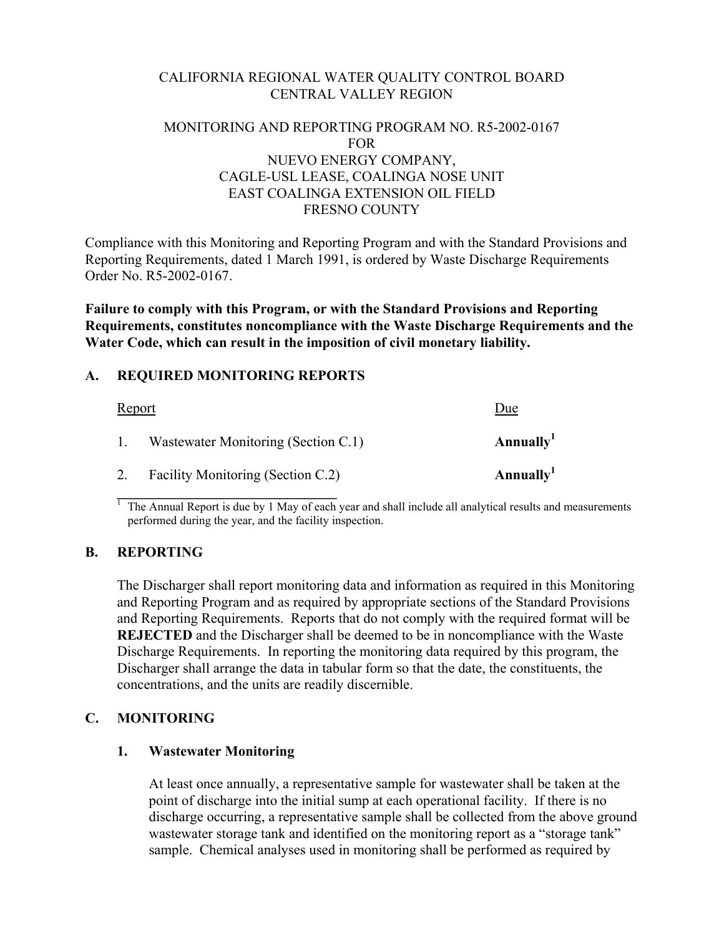# CALIFORNIA REGIONAL WATER QUALITY CONTROL BOARD CENTRAL VALLEY REGION

## MONITORING AND REPORTING PROGRAM NO. R5-2002-0167 FOR NUEVO ENERGY COMPANY, CAGLE-USL LEASE, COALINGA NOSE UNIT EAST COALINGA EXTENSION OIL FIELD FRESNO COUNTY

Compliance with this Monitoring and Reporting Program and with the Standard Provisions and Reporting Requirements, dated 1 March 1991, is ordered by Waste Discharge Requirements Order No. R5-2002-0167.

**Failure to comply with this Program, or with the Standard Provisions and Reporting Requirements, constitutes noncompliance with the Waste Discharge Requirements and the Water Code, which can result in the imposition of civil monetary liability.** 

# **A. REQUIRED MONITORING REPORTS**

| <b>Report</b> |                                     | Due                   |
|---------------|-------------------------------------|-----------------------|
| 1.            | Wastewater Monitoring (Section C.1) | Annually <sup>1</sup> |
| 2.            | Facility Monitoring (Section C.2)   | Annually <sup>1</sup> |

 $\frac{1}{1}$  The Annual Report is due by 1 May of each year and shall include all analytical results and measurements performed during the year, and the facility inspection.

# **B. REPORTING**

The Discharger shall report monitoring data and information as required in this Monitoring and Reporting Program and as required by appropriate sections of the Standard Provisions and Reporting Requirements. Reports that do not comply with the required format will be **REJECTED** and the Discharger shall be deemed to be in noncompliance with the Waste Discharge Requirements. In reporting the monitoring data required by this program, the Discharger shall arrange the data in tabular form so that the date, the constituents, the concentrations, and the units are readily discernible.

# **C. MONITORING**

#### **1. Wastewater Monitoring**

At least once annually, a representative sample for wastewater shall be taken at the point of discharge into the initial sump at each operational facility. If there is no discharge occurring, a representative sample shall be collected from the above ground wastewater storage tank and identified on the monitoring report as a "storage tank" sample. Chemical analyses used in monitoring shall be performed as required by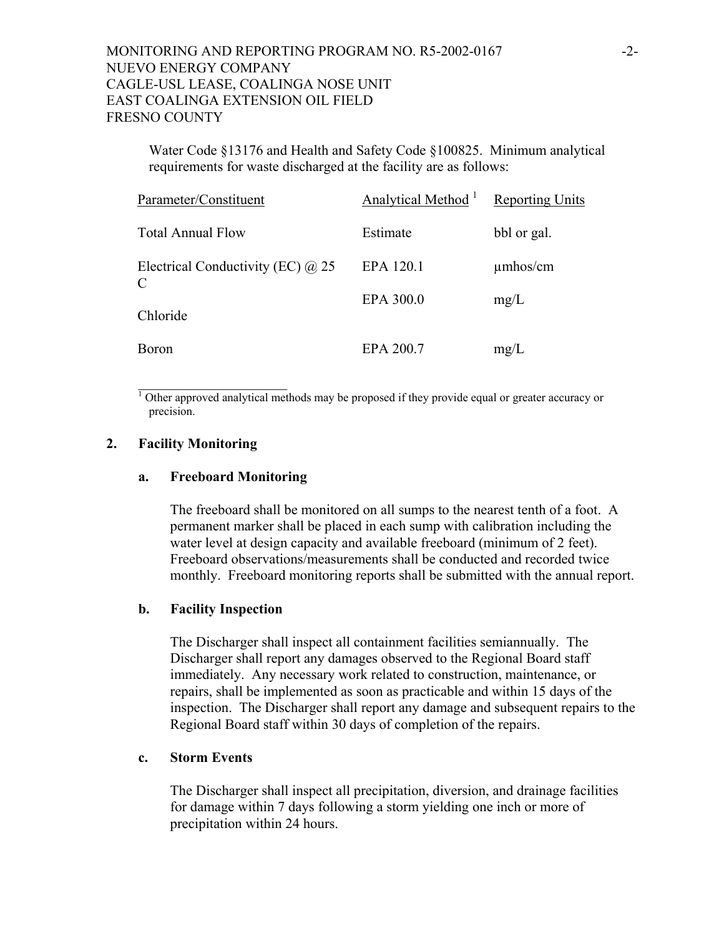# MONITORING AND REPORTING PROGRAM NO. R5-2002-0167 NUEVO ENERGY COMPANY CAGLE-USL LEASE, COALINGA NOSE UNIT EAST COALINGA EXTENSION OIL FIELD FRESNO COUNTY

Water Code §13176 and Health and Safety Code §100825. Minimum analytical requirements for waste discharged at the facility are as follows:

| Parameter/Constituent                   | Analytical Method <sup>1</sup> | <b>Reporting Units</b> |
|-----------------------------------------|--------------------------------|------------------------|
| <b>Total Annual Flow</b>                | Estimate                       | bbl or gal.            |
| Electrical Conductivity (EC) $@25$<br>C | EPA 120.1                      | $\mu$ mhos/cm          |
| Chloride                                | EPA 300.0                      | mg/L                   |
| <b>Boron</b>                            | EPA 200.7                      | mg/L                   |

<sup>1</sup> Other approved analytical methods may be proposed if they provide equal or greater accuracy or precision.

#### **2. Facility Monitoring**

#### **a. Freeboard Monitoring**

 $\overline{\phantom{a}}$  , where  $\overline{\phantom{a}}$ 

The freeboard shall be monitored on all sumps to the nearest tenth of a foot. A permanent marker shall be placed in each sump with calibration including the water level at design capacity and available freeboard (minimum of 2 feet). Freeboard observations/measurements shall be conducted and recorded twice monthly. Freeboard monitoring reports shall be submitted with the annual report.

#### **b. Facility Inspection**

The Discharger shall inspect all containment facilities semiannually. The Discharger shall report any damages observed to the Regional Board staff immediately. Any necessary work related to construction, maintenance, or repairs, shall be implemented as soon as practicable and within 15 days of the inspection. The Discharger shall report any damage and subsequent repairs to the Regional Board staff within 30 days of completion of the repairs.

#### **c. Storm Events**

The Discharger shall inspect all precipitation, diversion, and drainage facilities for damage within 7 days following a storm yielding one inch or more of precipitation within 24 hours.